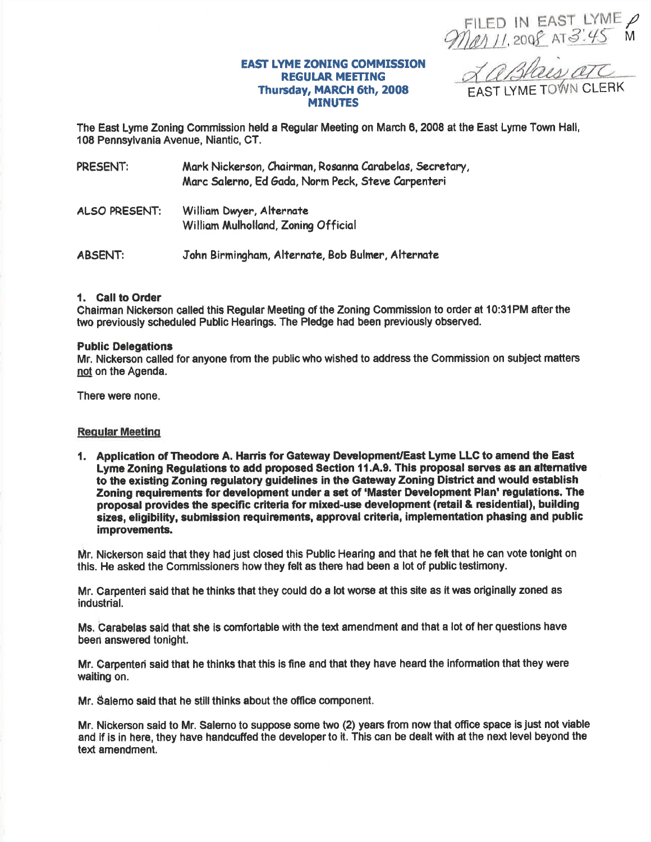FILED IN EAST LYME P

#### **EAST LYME ZONING COMMISSION REGULAR MEETING** Thursday, MARCH 6th, 2008 **MINUTES**

La Blais arc FAST LYME TOWN CLERK

The East Lyme Zoning Commission held a Regular Meeting on March 6, 2008 at the East Lyme Town Hall, 108 Pennsylvania Avenue, Niantic, CT.

| PRESENT: | Mark Nickerson, Chairman, Rosanna Carabelas, Secretary, |
|----------|---------------------------------------------------------|
|          | Marc Salerno, Ed Gada, Norm Peck, Steve Carpenteri      |

**ALSO PRESENT:** William Dwyer, Alternate William Mulholland, Zoning Official

**ABSENT:** John Birmingham, Alternate, Bob Bulmer, Alternate

## 1. Call to Order

Chairman Nickerson called this Regular Meeting of the Zoning Commission to order at 10:31PM after the two previously scheduled Public Hearings. The Pledge had been previously observed.

## **Public Delegations**

Mr. Nickerson called for anyone from the public who wished to address the Commission on subject matters not on the Agenda.

There were none.

## **Regular Meeting**

1. Application of Theodore A. Harris for Gateway Development/East Lyme LLC to amend the East Lyme Zoning Regulations to add proposed Section 11.A.9. This proposal serves as an alternative to the existing Zoning regulatory guidelines in the Gateway Zoning District and would establish Zoning requirements for development under a set of 'Master Development Plan' regulations. The proposal provides the specific criteria for mixed-use development (retail & residential), building sizes, eligibility, submission requirements, approval criteria, implementation phasing and public improvements.

Mr. Nickerson said that they had just closed this Public Hearing and that he felt that he can vote tonight on this. He asked the Commissioners how they felt as there had been a lot of public testimony.

Mr. Carpenteri said that he thinks that they could do a lot worse at this site as it was originally zoned as industrial.

Ms. Carabelas said that she is comfortable with the text amendment and that a lot of her questions have been answered tonight.

Mr. Carpenten said that he thinks that this is fine and that they have heard the information that they were waiting on.

Mr. Salerno said that he still thinks about the office component.

Mr. Nickerson said to Mr. Salerno to suppose some two (2) years from now that office space is just not viable and if is in here, they have handcuffed the developer to it. This can be dealt with at the next level beyond the text amendment.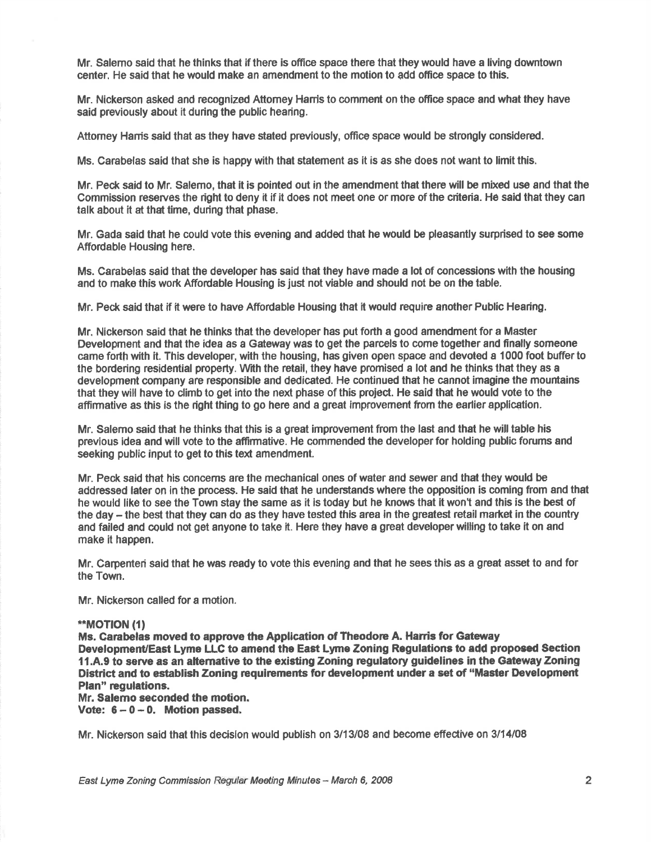Mr. Salemo said that he thinks that if there is office space there that they would have a living downtown center. He said that he would make an amendment to the motion to add office space to this.

Mr. Nickerson asked and recognized Attomey Hanis to comment on the office space and what they have said previously about it during the public hearing.

Attorney Harris said that as they have stated previously, office space would be strongly considered.

Ms. Carabelas said that she is happy with that statement as it is as she does not want to limit this.

Mr. Peck said to Mr, Salemo, that it is pointed out in the amendment that there will be mixed use and that the Commission reserves the right to deny it if it does not meet one or more of the criteria. He said that they can talk about it at that time, during that phase.

Mr. Gada said that he could vote this evening and added that he would be pleasantly surprised to see some Affordable Housing here.

Ms. Carabelas said that the developer has said that they have made a lot of concesslons with the housing and to make this work Affordable Housing is just not viable and should not be on the table

Mr. Peck said that if it were to have Affordable Housing that it would require another Public Heafng.

Mr. Nickerson said that he thinks that the developer has put forth a good amendment for a Master Development and that the idea as a Gateway was to get the parcels to come together and finally someone came forth with it. This developer, with the housing, has given open space and devoted a 1000 foot bufferto the bordering residential property. With the retail, they have promised a lot and he thinks that they as a development company are responsible and dedicated. He continued that he cannot imagine the mountains that they will have to climb to get into the next phase of this project. He said that he would vote to the affirmative as this is the right thing to go here and a great improvement from the earlier application.

Mr. Salemo said that he thinks that this is a great improvement from the last and that he will table his previous idea and will vote to the affirmative. He commended the developer for holding public forums and seeking public input to get to this text amendment.

Mr. Peck said that his concems are the mechanical ones of water and sewer and that they would be addressed later on in the process. He said that he understands where the opposition is coming from and that he would like to see the Town stay the same as it is today but he knows that it won't and this is the best of the day - the best that they can do as they have tested this area in the greatest retail market in the country and failed and could not get anyone to take it. Here they have a great developer willing to take it on and make it happen.

Mr. Carpenteri said that he was ready to vote this evening and that he sees this as a great asset to and for the Town.

Mr. Nickenson called for a motion.

# \*\*MOTION (1)

Ms. Carabelas moved to approve the Application of Theodore A. Harris for Gateway Development/East Lyme LLG to amend the East Lyme Zoning Regulations to add propoeed \$ection 11.A.9 to serve as an alternative to the existing Zoning regulatory guidelines in the Gateway Zoning District and to establish Zoning requirements for development under a set of "Master Development Plan" regulations.

Mr. Salemo seconded the motion.

Vote:  $6-0-0$ . Motion passed,

Mr. Nickerson said that this decision would publish on 3/13/08 and become effective on 3/14/08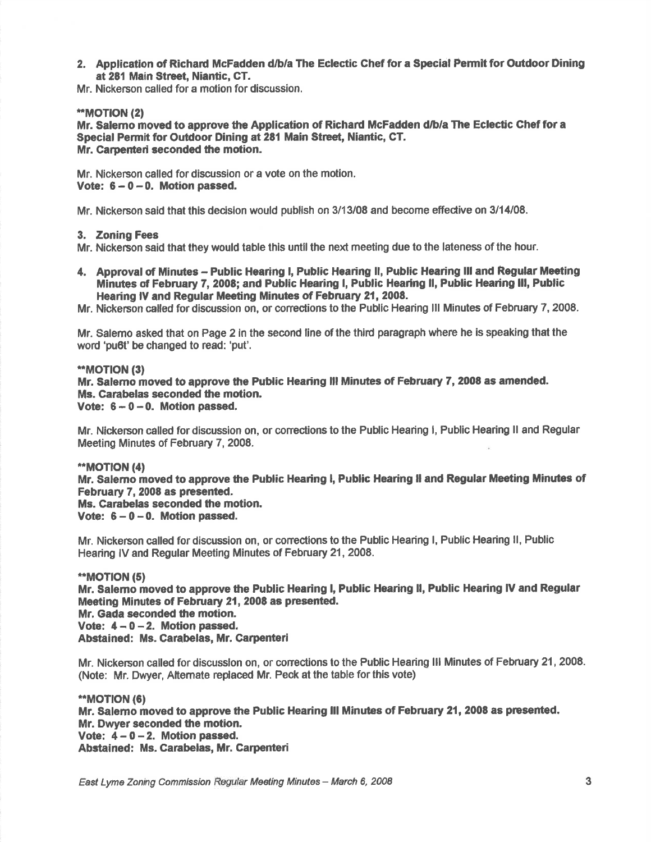2. Application of Richard McFadden d/b/a The Eclectic Chef for a Special Permit for Outdoor Dining at 281 Main Street, Niantic, CT.

Mr. Nickerson called for a motion for discussion.

# \*\*MOTION (2)

Mr. Salemo moved to approve the Application of Richard McFadden d/b/a The Eclectic Chef for a Special Permit for Outdoor Dining at 281 Main Street, Niantic, CT. Mr. Carpenteri seconded the motion.

Mr. Nickerson called for discussion or a vote on the motion, Vote:  $6 - 0 - 0$ . Motion passed.

Mr. Nickerson said that this decision would publish on 3/13/08 and become effective on 3/14/08.

#### 3. Zoning Fees

Mr. Nickerson said that they would table this until the next meeting due to the lateness of the hour.

4. Approval of Minutes - Public Hearing I, Public Hearing II, Public Hearing III and Regular Meeting Minutes of February 7, 2008; and Public Hearing I, Public Hearing II, Public Hearing III, Public Hearing IV and Regular Meeting Minutes of February 21, 2008.

Mr. Nickerson called fordiscussion on, or corections to the Public Hearing lll Minutes of February 7,2008.

Mr. Salemo asked that on Page 2 in the second line of the third paragraph where he is speaking that the word 'pu6t' be changed to read: 'put'.

# \*\*MOTION (3)

Mr. Salemo moved to approve the Public Hearing III Minutes of February 7, 2008 as amended. Ms. Garabelas seconded the motion.

Vote:  $6 - 0 - 0$ . Motion passed.

Mr. Nickerson called for discussion on, or corrections to the Public Hearing i, Public Hearing II and Regular Meeting Minutes of February 7, 2008.

# \*\*MOTION (4)

Mr. Salemo moved to approve the Public Hearing l, Public Hearing ll and Regular Meeting Minutes of February 7, 2008 as presented.

Ms. Carabelas seconded the motion.

Vote:  $6 - 0 - 0$ . Motion passed.

Mr. Nickerson called for discussion on, or corrections to the Public Hearing I, Public Hearing II, Public Hearing lV and Regular Meeting Minutes of February 21,2008.

# \*\*MOTION (5)

Mr. Salemo moved to approve the Public Hearing l, Public Hearing ll, Public Hearing lV and Regular Meeting Minutes of February 21, 2008 as presented.

Mr. Gada seconded the motion.

Vote:  $4 - 0 - 2$ . Motion passed.

Abstained: Ms. Carabelas, Mr. Carpenteri

Mr. Nickerson called for discusslon on, or conections to the Public Hearing lll Minutes of February 21,2Q08. (Note: Mr. Dwyer, Altemate replaced Mr. Peok at the table forthis vote)

\*MOT|ON (6) Mr. Salemo moved to approve the Public Hearing III Minutes of February 21, 2008 as presented. Mr. Dwyer seconded the motion. Vote:  $4 - 0 - 2$ . Motion passed. Abstained: Ms. Carabelas, Mr. Carpenteri